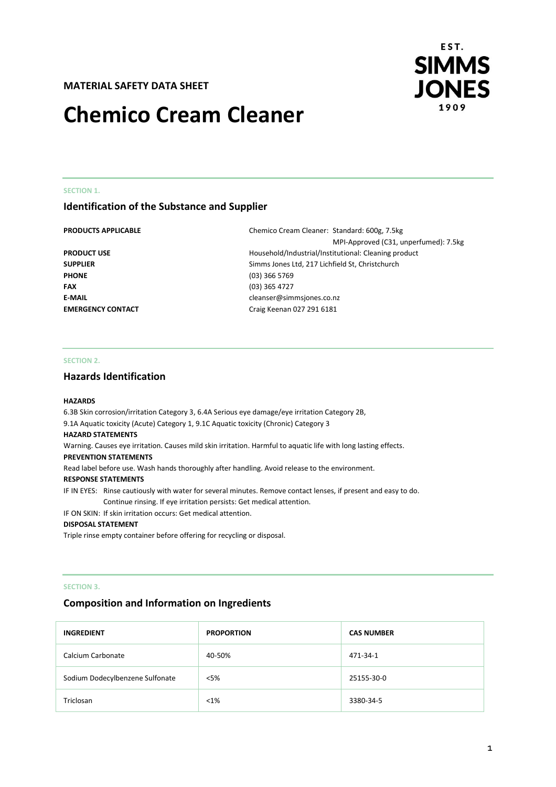# **MATERIAL SAFETY DATA SHEET**

# **Chemico Cream Cleaner**



#### **SECTION 1.**

# **Identification of the Substance and Supplier**

**PHONE** (03) 366 5769 **FAX** (03) 365 4727

**PRODUCTS APPLICABLE** Chemico Cream Cleaner: Standard: 600g, 7.5kg MPI-Approved (C31, unperfumed): 7.5kg **PRODUCT USE PRODUCT USE Household/Industrial/Institutional: Cleaning product SUPPLIER** Simms Jones Ltd, 217 Lichfield St, Christchurch **E-MAIL** cleanser@simmsjones.co.nz **EMERGENCY CONTACT** Craig Keenan 027 291 6181

#### **SECTION 2.**

# **Hazards Identification**

#### **HAZARDS**

6.3B Skin corrosion/irritation Category 3, 6.4A Serious eye damage/eye irritation Category 2B, 9.1A Aquatic toxicity (Acute) Category 1, 9.1C Aquatic toxicity (Chronic) Category 3 **HAZARD STATEMENTS** Warning. Causes eye irritation. Causes mild skin irritation. Harmful to aquatic life with long lasting effects.

#### **PREVENTION STATEMENTS**

Read label before use. Wash hands thoroughly after handling. Avoid release to the environment.

#### **RESPONSE STATEMENTS**

IF IN EYES: Rinse cautiously with water for several minutes. Remove contact lenses, if present and easy to do. Continue rinsing. If eye irritation persists: Get medical attention.

#### IF ON SKIN: If skin irritation occurs: Get medical attention.

#### **DISPOSAL STATEMENT**

Triple rinse empty container before offering for recycling or disposal.

#### **SECTION 3.**

# **Composition and Information on Ingredients**

| <b>INGREDIENT</b>               | <b>PROPORTION</b> | <b>CAS NUMBER</b> |
|---------------------------------|-------------------|-------------------|
| Calcium Carbonate               | 40-50%            | 471-34-1          |
| Sodium Dodecylbenzene Sulfonate | $<$ 5%            | 25155-30-0        |
| Triclosan                       | $< 1\%$           | 3380-34-5         |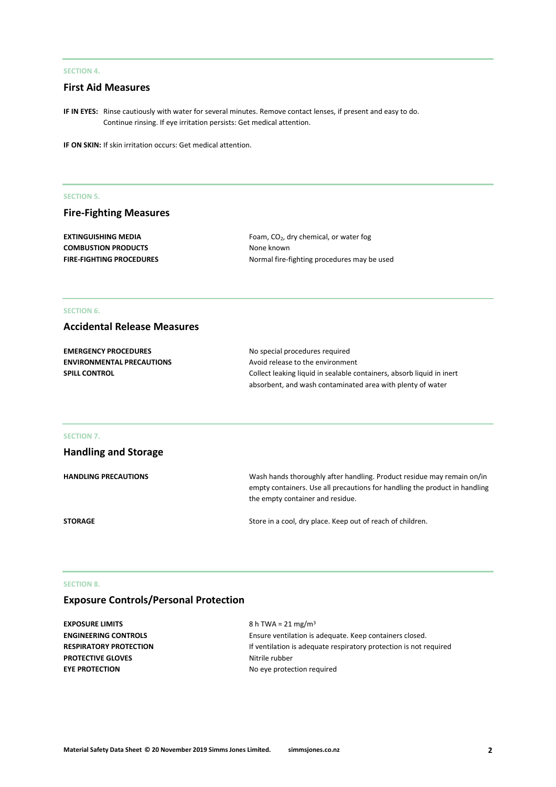# **SECTION 4.**

# **First Aid Measures**

**IF IN EYES:** Rinse cautiously with water for several minutes. Remove contact lenses, if present and easy to do. Continue rinsing. If eye irritation persists: Get medical attention.

**IF ON SKIN:** If skin irritation occurs: Get medical attention.

#### **SECTION 5.**

# **Fire-Fighting Measures**

**COMBUSTION PRODUCTS** None known

**EXTINGUISHING MEDIA** Foam, CO<sub>2</sub>, dry chemical, or water fog **FIRE-FIGHTING PROCEDURES** Normal fire-fighting procedures may be used

# **SECTION 6.**

# **Accidental Release Measures**

| <b>EMERGENCY PROCEDURES</b>      | No special procedures required                                        |  |
|----------------------------------|-----------------------------------------------------------------------|--|
| <b>ENVIRONMENTAL PRECAUTIONS</b> | Avoid release to the environment                                      |  |
| <b>SPILL CONTROL</b>             | Collect leaking liquid in sealable containers, absorb liquid in inert |  |
|                                  | absorbent, and wash contaminated area with plenty of water            |  |

#### **SECTION 7.**

| <b>Handling and Storage</b> |                                                                                                                                                                                          |
|-----------------------------|------------------------------------------------------------------------------------------------------------------------------------------------------------------------------------------|
| <b>HANDLING PRECAUTIONS</b> | Wash hands thoroughly after handling. Product residue may remain on/in<br>empty containers. Use all precautions for handling the product in handling<br>the empty container and residue. |
| <b>STORAGE</b>              | Store in a cool, dry place. Keep out of reach of children.                                                                                                                               |

# **SECTION 8.**

# **Exposure Controls/Personal Protection**

| EXPOSURE LIMITS               | 8 h TWA = 21 mg/m <sup>3</sup>                                    |
|-------------------------------|-------------------------------------------------------------------|
| <b>ENGINEERING CONTROLS</b>   | Ensure ventilation is adequate. Keep containers closed.           |
| <b>RESPIRATORY PROTECTION</b> | If ventilation is adequate respiratory protection is not required |
| <b>PROTECTIVE GLOVES</b>      | Nitrile rubber                                                    |
| <b>EYE PROTECTION</b>         | No eye protection required                                        |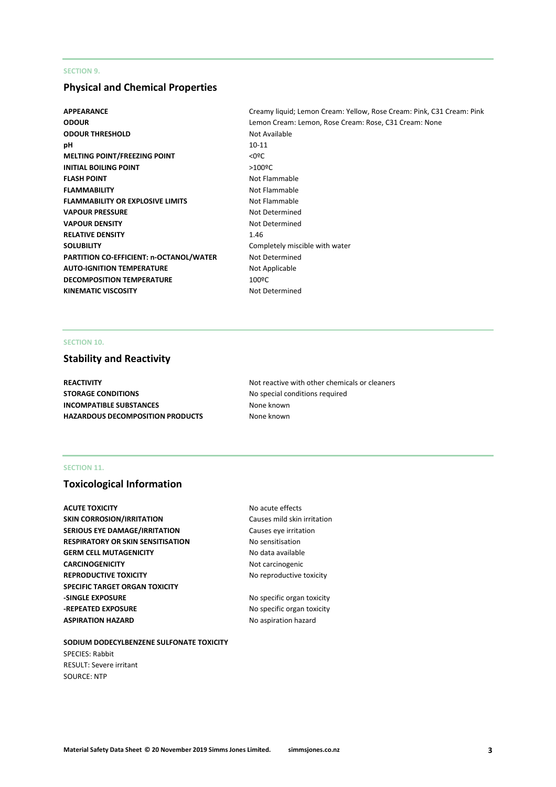# **SECTION 9.**

# **Physical and Chemical Properties**

**ODOUR THRESHOLD** Not Available **pH** 10-11 **MELTING POINT/FREEZING POINT**  $\leq 0$ **<sup>o</sup>C INITIAL BOILING POINT** >100<sup>o</sup>C **FLASH POINT** Not Flammable **FLAMMABILITY** Not Flammable **FLAMMABILITY OR EXPLOSIVE LIMITS** Not Flammable **VAPOUR PRESSURE** Not Determined **VAPOUR DENSITY** Not Determined **RELATIVE DENSITY** 1.46 **SOLUBILITY** Completely miscible with water **PARTITION CO-EFFICIENT: n-OCTANOL/WATER** Not Determined **AUTO-IGNITION TEMPERATURE** Not Applicable **DECOMPOSITION TEMPERATURE** 100ºC KINEMATIC VISCOSITY **Not Determined** 

**APPEARANCE** Creamy liquid; Lemon Cream: Yellow, Rose Cream: Pink, C31 Cream: Pink **ODOUR** Lemon Cream: Lemon, Rose Cream: Rose, C31 Cream: None

# **SECTION 10.**

# **Stability and Reactivity**

**STORAGE CONDITIONS** No special conditions required **INCOMPATIBLE SUBSTANCES** None known **HAZARDOUS DECOMPOSITION PRODUCTS** None known

**REACTIVITY Not reactive with other chemicals or cleaners Not reactive with other chemicals or cleaners** 

# **SECTION 11.**

# **Toxicological Information**

**ACUTE TOXICITY** ACUTE **TOXICITY** ACUTE **NO** acute effects **SKIN CORROSION/IRRITATION** Causes mild skin irritation **SERIOUS EYE DAMAGE/IRRITATION** Causes eye irritation **RESPIRATORY OR SKIN SENSITISATION No sensitisation GERM CELL MUTAGENICITY** No data available **CARCINOGENICITY** Not carcinogenic **REPRODUCTIVE TOXICITY No reproductive toxicity SPECIFIC TARGET ORGAN TOXICITY -SINGLE EXPOSURE** No specific organ toxicity **-REPEATED EXPOSURE** No specific organ toxicity **ASPIRATION HAZARD** No aspiration hazard

**SODIUM DODECYLBENZENE SULFONATE TOXICITY** SPECIES: Rabbit RESULT: Severe irritant SOURCE: NTP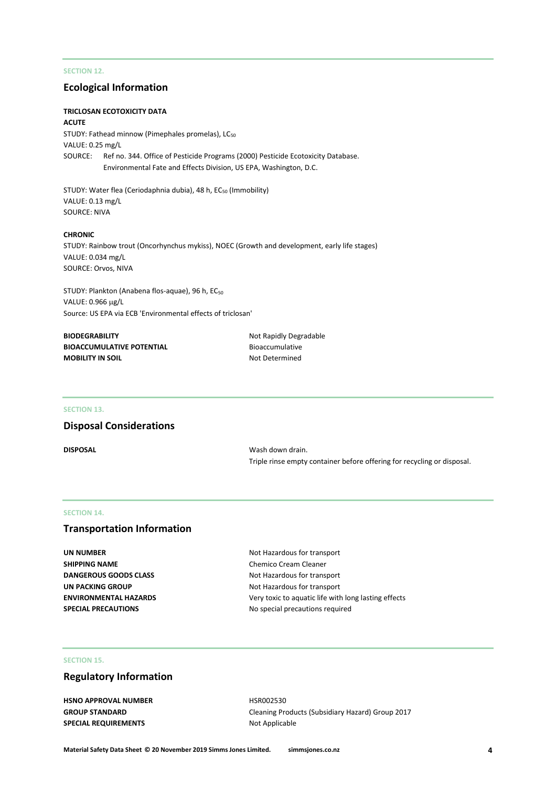# **SECTION 12.**

# **Ecological Information**

#### **TRICLOSAN ECOTOXICITY DATA ACUTE**

STUDY: Fathead minnow (Pimephales promelas), LC<sub>50</sub> VALUE: 0.25 mg/L SOURCE: Ref no. 344. Office of Pesticide Programs (2000) Pesticide Ecotoxicity Database. Environmental Fate and Effects Division, US EPA, Washington, D.C.

STUDY: Water flea (Ceriodaphnia dubia), 48 h, EC<sub>50</sub> (Immobility) VALUE: 0.13 mg/L SOURCE: NIVA

#### **CHRONIC**

STUDY: Rainbow trout (Oncorhynchus mykiss), NOEC (Growth and development, early life stages) VALUE: 0.034 mg/L SOURCE: Orvos, NIVA

STUDY: Plankton (Anabena flos-aquae), 96 h, EC<sub>50</sub> VALUE: 0.966 µg/L Source: US EPA via ECB 'Environmental effects of triclosan'

| <b>BIODEGRABILITY</b>            |
|----------------------------------|
| <b>BIOACCUMULATIVE POTENTIAL</b> |
| <b>MOBILITY IN SOIL</b>          |

**Not Rapidly Degradable Bioaccumulative Not Determined** 

#### **SECTION 13.**

# **Disposal Considerations**

**DISPOSAL** Wash down drain. Triple rinse empty container before offering for recycling or disposal.

#### **SECTION 14.**

# **Transportation Information**

| UN NUMBER                    |
|------------------------------|
| SHIPPING NAME                |
| <b>DANGEROUS GOODS CLASS</b> |
| UN PACKING GROUP             |
| ENVIRONMENTAL HAZARDS        |
| <b>SPECIAL PRECAUTIONS</b>   |

**Not Hazardous for transport Chemico Cream Cleaner Not Hazardous for transport Not Hazardous for transport** Very toxic to aquatic life with long lasting effects **SPECIAL PRECAUTIONS** No special precautions required

## **SECTION 15.**

# **Regulatory Information**

**HSNO APPROVAL NUMBER** HSR002530 **SPECIAL REQUIREMENTS** Not Applicable

**GROUP STANDARD** Cleaning Products (Subsidiary Hazard) Group 2017